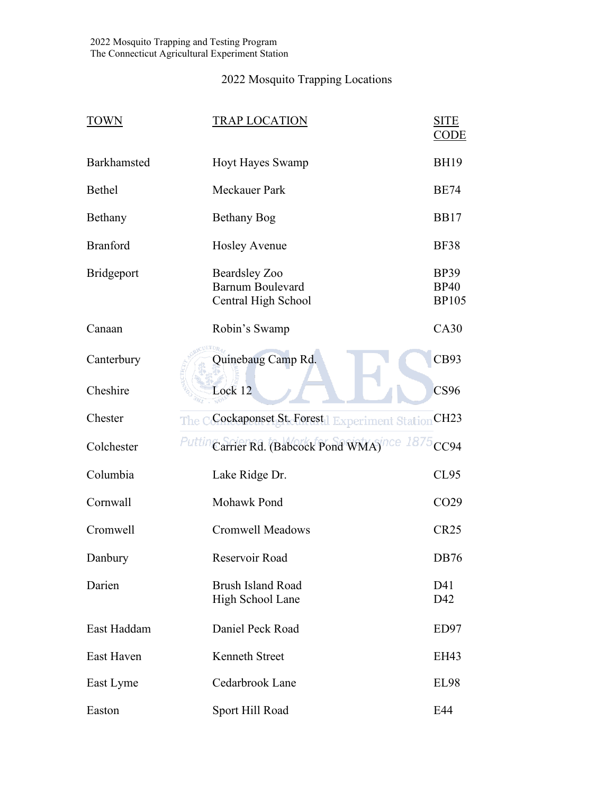## 2022 Mosquito Trapping Locations

| <b>TOWN</b>       | <b>TRAP LOCATION</b>                                                   | <b>SITE</b><br>CODE                        |
|-------------------|------------------------------------------------------------------------|--------------------------------------------|
| Barkhamsted       | <b>Hoyt Hayes Swamp</b>                                                | <b>BH19</b>                                |
| Bethel            | Meckauer Park                                                          | <b>BE74</b>                                |
| Bethany           | <b>Bethany Bog</b>                                                     | <b>BB17</b>                                |
| <b>Branford</b>   | <b>Hosley Avenue</b>                                                   | <b>BF38</b>                                |
| <b>Bridgeport</b> | <b>Beardsley Zoo</b><br><b>Barnum Boulevard</b><br>Central High School | <b>BP39</b><br><b>BP40</b><br><b>BP105</b> |
| Canaan            | Robin's Swamp                                                          | CA30                                       |
| Canterbury        | Quinebaug Camp Rd.                                                     | CB93                                       |
| Cheshire          | Lock 12                                                                | CS96                                       |
| Chester           | The CGockaponset St. Forest   Experiment Station                       | CH23                                       |
| Colchester        | Puttin<br>Carrier Rd. (Babcock Pond WMA) <sup>nce 1875</sup>           | CC94                                       |
| Columbia          | Lake Ridge Dr.                                                         | <b>CL95</b>                                |
| Cornwall          | Mohawk Pond                                                            | CO <sub>29</sub>                           |
| Cromwell          | <b>Cromwell Meadows</b>                                                | <b>CR25</b>                                |
| Danbury           | Reservoir Road                                                         | <b>DB76</b>                                |
| Darien            | <b>Brush Island Road</b><br>High School Lane                           | D41<br>D42                                 |
| East Haddam       | Daniel Peck Road                                                       | ED97                                       |
| East Haven        | Kenneth Street                                                         | EH43                                       |
| East Lyme         | Cedarbrook Lane                                                        | <b>EL98</b>                                |
| Easton            | Sport Hill Road                                                        | E44                                        |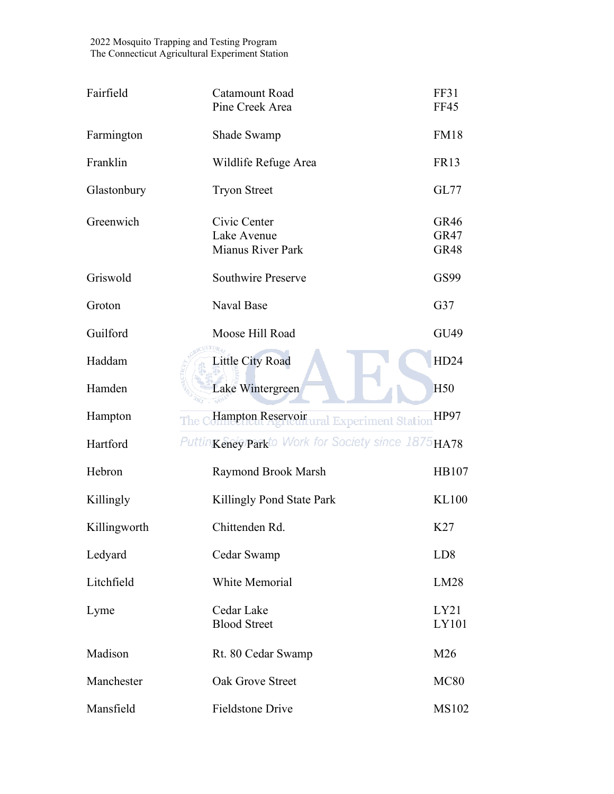| Fairfield    | Catamount Road<br>Pine Creek Area                       | FF31<br><b>FF45</b>                |
|--------------|---------------------------------------------------------|------------------------------------|
| Farmington   | Shade Swamp                                             | <b>FM18</b>                        |
| Franklin     | Wildlife Refuge Area                                    | <b>FR13</b>                        |
| Glastonbury  | <b>Tryon Street</b>                                     | <b>GL77</b>                        |
| Greenwich    | Civic Center<br>Lake Avenue<br><b>Mianus River Park</b> | GR46<br><b>GR47</b><br><b>GR48</b> |
| Griswold     | <b>Southwire Preserve</b>                               | GS99                               |
| Groton       | Naval Base                                              | G37                                |
| Guilford     | Moose Hill Road                                         | GU49                               |
| Haddam       | <b>Little City Road</b>                                 | HD24                               |
| Hamden       | Lake Wintergreen                                        | H <sub>50</sub>                    |
| Hampton      | Hampton Reservoirural Experiment Station<br>The         | <b>HP97</b>                        |
| Hartford     | PuttinKeney Parkto Work for Society since 1875 HA78     |                                    |
| Hebron       | Raymond Brook Marsh                                     | HB107                              |
| Killingly    | Killingly Pond State Park                               | <b>KL100</b>                       |
| Killingworth | Chittenden Rd.                                          | K27                                |
| Ledyard      | Cedar Swamp                                             | LD <sub>8</sub>                    |
| Litchfield   | <b>White Memorial</b>                                   | LM28                               |
| Lyme         | Cedar Lake<br><b>Blood Street</b>                       | LY21<br>LY101                      |
| Madison      | Rt. 80 Cedar Swamp                                      | M26                                |
| Manchester   | <b>Oak Grove Street</b>                                 | <b>MC80</b>                        |
| Mansfield    | <b>Fieldstone Drive</b>                                 | <b>MS102</b>                       |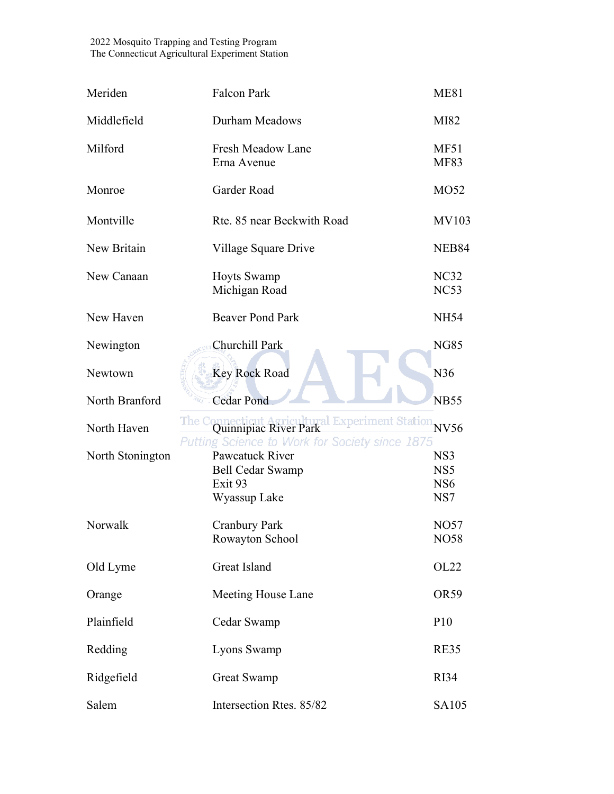| Meriden          | <b>Falcon Park</b>                                                                                       | <b>ME81</b>                                      |
|------------------|----------------------------------------------------------------------------------------------------------|--------------------------------------------------|
| Middlefield      | Durham Meadows                                                                                           | MI82                                             |
| Milford          | Fresh Meadow Lane<br>Erna Avenue                                                                         | <b>MF51</b><br><b>MF83</b>                       |
| Monroe           | Garder Road                                                                                              | MO52                                             |
| Montville        | Rte. 85 near Beckwith Road                                                                               | <b>MV103</b>                                     |
| New Britain      | Village Square Drive                                                                                     | NEB84                                            |
| New Canaan       | <b>Hoyts Swamp</b><br>Michigan Road                                                                      | NC32<br>NC53                                     |
| New Haven        | <b>Beaver Pond Park</b>                                                                                  | <b>NH54</b>                                      |
| Newington        | Churchill Park                                                                                           | <b>NG85</b>                                      |
| Newtown          | <b>Key Rock Road</b>                                                                                     | N36                                              |
| North Branford   | <b>Cedar Pond</b>                                                                                        | <b>NB55</b>                                      |
| North Haven      | The Connecticular Agricultural Experiment Station NV56<br>Putting Science to Work for Society since 1875 |                                                  |
| North Stonington | Pawcatuck River<br><b>Bell Cedar Swamp</b><br>Exit <sub>93</sub><br>Wyassup Lake                         | NS3<br>NS <sub>5</sub><br>NS <sub>6</sub><br>NS7 |
| Norwalk          | <b>Cranbury Park</b><br>Rowayton School                                                                  | <b>NO57</b><br>NO58                              |
| Old Lyme         | Great Island                                                                                             | OL22                                             |
| Orange           | Meeting House Lane                                                                                       | OR59                                             |
| Plainfield       | Cedar Swamp                                                                                              | P <sub>10</sub>                                  |
| Redding          | Lyons Swamp                                                                                              | RE35                                             |
| Ridgefield       | <b>Great Swamp</b>                                                                                       | <b>RI34</b>                                      |
| Salem            | Intersection Rtes. 85/82                                                                                 | SA105                                            |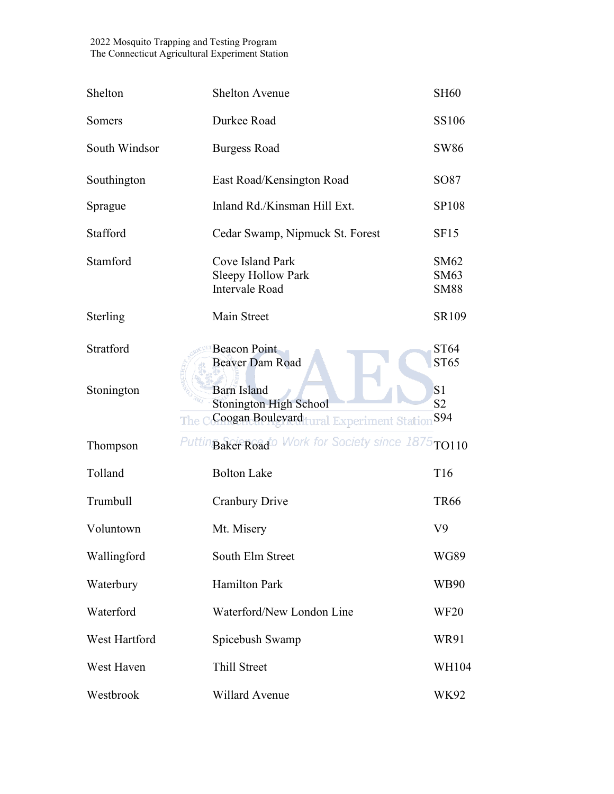| Shelton       | <b>Shelton Avenue</b>                                                                                         | <b>SH60</b>                      |
|---------------|---------------------------------------------------------------------------------------------------------------|----------------------------------|
| Somers        | Durkee Road                                                                                                   | <b>SS106</b>                     |
| South Windsor | <b>Burgess Road</b>                                                                                           | <b>SW86</b>                      |
| Southington   | East Road/Kensington Road                                                                                     | SO87                             |
| Sprague       | Inland Rd./Kinsman Hill Ext.                                                                                  | <b>SP108</b>                     |
| Stafford      | Cedar Swamp, Nipmuck St. Forest                                                                               | SF <sub>15</sub>                 |
| Stamford      | Cove Island Park<br>Sleepy Hollow Park<br><b>Intervale Road</b>                                               | SM62<br>SM63<br><b>SM88</b>      |
| Sterling      | Main Street                                                                                                   | SR109                            |
| Stratford     | <b>Beacon Point</b><br><b>Beaver Dam Road</b>                                                                 | ST64<br>ST65                     |
| Stonington    | <b>Barn Island</b><br><b>Stonington High School</b><br>Coogan Boulevard tural Experiment Station S94<br>The C | S <sub>1</sub><br>S <sub>2</sub> |
| Thompson      | Puttin Baker Roado Work for Society since 1875 TO110                                                          |                                  |
| Tolland       | <b>Bolton Lake</b>                                                                                            | T <sub>16</sub>                  |
| Trumbull      | <b>Cranbury Drive</b>                                                                                         | <b>TR66</b>                      |
| Voluntown     | Mt. Misery                                                                                                    | V9                               |
| Wallingford   | South Elm Street                                                                                              | WG89                             |
| Waterbury     | <b>Hamilton Park</b>                                                                                          | WB90                             |
| Waterford     | Waterford/New London Line                                                                                     | <b>WF20</b>                      |
| West Hartford | Spicebush Swamp                                                                                               | WR91                             |
| West Haven    | Thill Street                                                                                                  | WH104                            |
| Westbrook     | Willard Avenue                                                                                                | WK92                             |